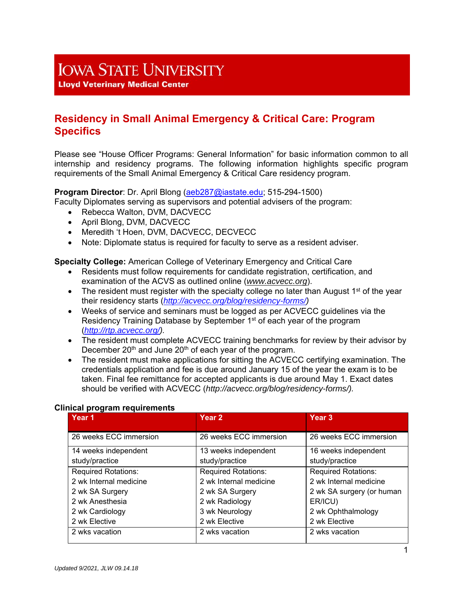# **IOWA STATE UNIVERSITY**

**Lloyd Veterinary Medical Center** 

# **Residency in Small Animal Emergency & Critical Care: Program Specifics**

Please see "House Officer Programs: General Information" for basic information common to all internship and residency programs. The following information highlights specific program requirements of the Small Animal Emergency & Critical Care residency program.

## **Program Director**: Dr. April Blong (aeb287@iastate.edu; 515-294-1500)

Faculty Diplomates serving as supervisors and potential advisers of the program:

- Rebecca Walton, DVM, DACVECC
- April Blong, DVM, DACVECC
- Meredith 't Hoen, DVM, DACVECC, DECVECC
- Note: Diplomate status is required for faculty to serve as a resident adviser.

**Specialty College:** American College of Veterinary Emergency and Critical Care

- Residents must follow requirements for candidate registration, certification, and examination of the ACVS as outlined online (*www.acvecc.org*).
- The resident must register with the specialty college no later than August  $1<sup>st</sup>$  of the year their residency starts (*http://acvecc.org/blog/residency-forms/)*
- Weeks of service and seminars must be logged as per ACVECC guidelines via the Residency Training Database by September 1<sup>st</sup> of each year of the program (*http://rtp.acvecc.org/).*
- The resident must complete ACVECC training benchmarks for review by their advisor by December 20<sup>th</sup> and June 20<sup>th</sup> of each year of the program.
- The resident must make applications for sitting the ACVECC certifying examination. The credentials application and fee is due around January 15 of the year the exam is to be taken. Final fee remittance for accepted applicants is due around May 1. Exact dates should be verified with ACVECC (*http://acvecc.org/blog/residency-forms/).*

| Year 1                     | Year <sub>2</sub>          | Year <sub>3</sub>          |
|----------------------------|----------------------------|----------------------------|
| 26 weeks ECC immersion     | 26 weeks ECC immersion     | 26 weeks ECC immersion     |
| 14 weeks independent       | 13 weeks independent       | 16 weeks independent       |
| study/practice             | study/practice             | study/practice             |
| <b>Required Rotations:</b> | <b>Required Rotations:</b> | <b>Required Rotations:</b> |
| 2 wk Internal medicine     | 2 wk Internal medicine     | 2 wk Internal medicine     |
| 2 wk SA Surgery            | 2 wk SA Surgery            | 2 wk SA surgery (or human  |
| 2 wk Anesthesia            | 2 wk Radiology             | ER/ICU)                    |
| 2 wk Cardiology            | 3 wk Neurology             | 2 wk Ophthalmology         |
| 2 wk Elective              | 2 wk Elective              | 2 wk Elective              |
| 2 wks vacation             | 2 wks vacation             | 2 wks vacation             |

#### **Clinical program requirements**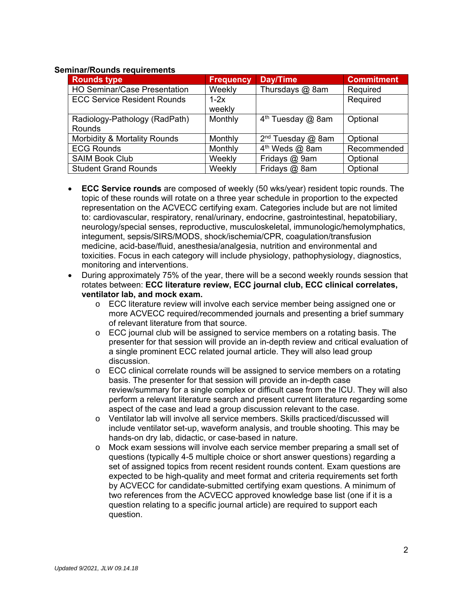#### **Seminar/Rounds requirements**

| <b>Rounds type</b>                      | <b>Frequency</b> | Day/Time                   | <b>Commitment</b> |
|-----------------------------------------|------------------|----------------------------|-------------------|
| <b>HO Seminar/Case Presentation</b>     | Weekly           | Thursdays @ 8am            | Required          |
| <b>ECC Service Resident Rounds</b>      | $1-2x$<br>weekly |                            | Required          |
| Radiology-Pathology (RadPath)<br>Rounds | Monthly          | $4th$ Tuesday $@$ 8am      | Optional          |
| Morbidity & Mortality Rounds            | Monthly          | $2nd$ Tuesday @ 8am        | Optional          |
| <b>ECG Rounds</b>                       | Monthly          | 4 <sup>th</sup> Weds @ 8am | Recommended       |
| <b>SAIM Book Club</b>                   | Weekly           | Fridays @ 9am              | Optional          |
| <b>Student Grand Rounds</b>             | Weekly           | Fridays @ 8am              | Optional          |

- **ECC Service rounds** are composed of weekly (50 wks/year) resident topic rounds. The topic of these rounds will rotate on a three year schedule in proportion to the expected representation on the ACVECC certifying exam. Categories include but are not limited to: cardiovascular, respiratory, renal/urinary, endocrine, gastrointestinal, hepatobiliary, neurology/special senses, reproductive, musculoskeletal, immunologic/hemolymphatics, integument, sepsis/SIRS/MODS, shock/ischemia/CPR, coagulation/transfusion medicine, acid-base/fluid, anesthesia/analgesia, nutrition and environmental and toxicities. Focus in each category will include physiology, pathophysiology, diagnostics, monitoring and interventions.
- During approximately 75% of the year, there will be a second weekly rounds session that rotates between: **ECC literature review, ECC journal club, ECC clinical correlates, ventilator lab, and mock exam.**
	- o ECC literature review will involve each service member being assigned one or more ACVECC required/recommended journals and presenting a brief summary of relevant literature from that source.
	- o ECC journal club will be assigned to service members on a rotating basis. The presenter for that session will provide an in-depth review and critical evaluation of a single prominent ECC related journal article. They will also lead group discussion.
	- $\circ$  ECC clinical correlate rounds will be assigned to service members on a rotating basis. The presenter for that session will provide an in-depth case review/summary for a single complex or difficult case from the ICU. They will also perform a relevant literature search and present current literature regarding some aspect of the case and lead a group discussion relevant to the case.
	- o Ventilator lab will involve all service members. Skills practiced/discussed will include ventilator set-up, waveform analysis, and trouble shooting. This may be hands-on dry lab, didactic, or case-based in nature.
	- o Mock exam sessions will involve each service member preparing a small set of questions (typically 4-5 multiple choice or short answer questions) regarding a set of assigned topics from recent resident rounds content. Exam questions are expected to be high-quality and meet format and criteria requirements set forth by ACVECC for candidate-submitted certifying exam questions. A minimum of two references from the ACVECC approved knowledge base list (one if it is a question relating to a specific journal article) are required to support each question.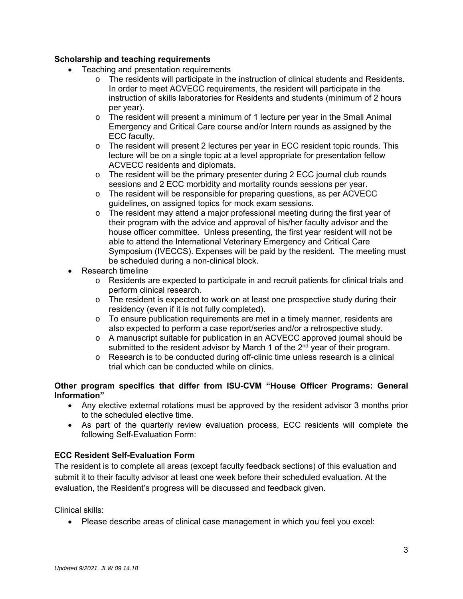# **Scholarship and teaching requirements**

- Teaching and presentation requirements
	- o The residents will participate in the instruction of clinical students and Residents. In order to meet ACVECC requirements, the resident will participate in the instruction of skills laboratories for Residents and students (minimum of 2 hours per year).
	- $\circ$  The resident will present a minimum of 1 lecture per year in the Small Animal Emergency and Critical Care course and/or Intern rounds as assigned by the ECC faculty.
	- $\circ$  The resident will present 2 lectures per year in ECC resident topic rounds. This lecture will be on a single topic at a level appropriate for presentation fellow ACVECC residents and diplomats.
	- o The resident will be the primary presenter during 2 ECC journal club rounds sessions and 2 ECC morbidity and mortality rounds sessions per year.
	- o The resident will be responsible for preparing questions, as per ACVECC guidelines, on assigned topics for mock exam sessions.
	- $\circ$  The resident may attend a major professional meeting during the first year of their program with the advice and approval of his/her faculty advisor and the house officer committee. Unless presenting, the first year resident will not be able to attend the International Veterinary Emergency and Critical Care Symposium (IVECCS). Expenses will be paid by the resident. The meeting must be scheduled during a non-clinical block.
- Research timeline
	- $\circ$  Residents are expected to participate in and recruit patients for clinical trials and perform clinical research.
	- $\circ$  The resident is expected to work on at least one prospective study during their residency (even if it is not fully completed).
	- $\circ$  To ensure publication requirements are met in a timely manner, residents are also expected to perform a case report/series and/or a retrospective study.
	- o A manuscript suitable for publication in an ACVECC approved journal should be submitted to the resident advisor by March 1 of the 2<sup>nd</sup> year of their program.
	- $\circ$  Research is to be conducted during off-clinic time unless research is a clinical trial which can be conducted while on clinics.

## **Other program specifics that differ from ISU-CVM "House Officer Programs: General Information"**

- Any elective external rotations must be approved by the resident advisor 3 months prior to the scheduled elective time.
- As part of the quarterly review evaluation process, ECC residents will complete the following Self-Evaluation Form:

# **ECC Resident Self-Evaluation Form**

The resident is to complete all areas (except faculty feedback sections) of this evaluation and submit it to their faculty advisor at least one week before their scheduled evaluation. At the evaluation, the Resident's progress will be discussed and feedback given.

Clinical skills:

Please describe areas of clinical case management in which you feel you excel: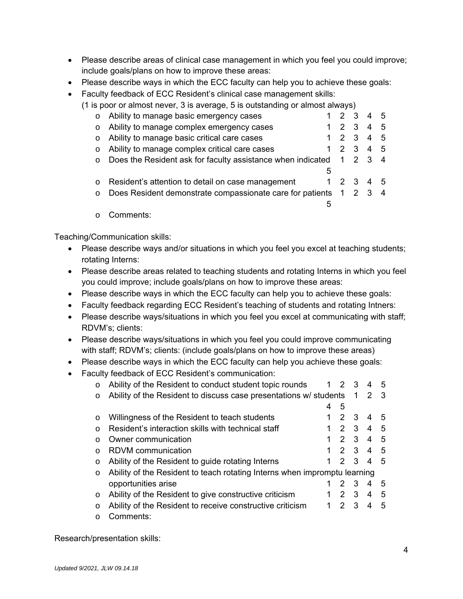- Please describe areas of clinical case management in which you feel you could improve; include goals/plans on how to improve these areas:
- Please describe ways in which the ECC faculty can help you to achieve these goals:
- Faculty feedback of ECC Resident's clinical case management skills:
	- (1 is poor or almost never, 3 is average, 5 is outstanding or almost always)

| $\circ$ | Ability to manage basic emergency cases                             |   | 1 2 3           |             | 4 | - 5 |
|---------|---------------------------------------------------------------------|---|-----------------|-------------|---|-----|
| $\circ$ | Ability to manage complex emergency cases                           |   |                 | $2 \quad 3$ | 4 | - 5 |
| $\circ$ | Ability to manage basic critical care cases                         |   | $1\quad2\quad3$ |             | 4 | -5  |
| $\circ$ | Ability to manage complex critical care cases                       |   |                 | $2 \quad 3$ | 4 | -5  |
| $\circ$ | Does the Resident ask for faculty assistance when indicated 1 2 3 4 |   |                 |             |   |     |
|         |                                                                     | 5 |                 |             |   |     |
|         | Resident's attention to detail on case management                   |   | 1 2 3           |             | 4 | .5  |
|         | Does Resident demonstrate compassionate care for patients 1 2 3     |   |                 |             |   | 4   |
|         |                                                                     | 5 |                 |             |   |     |
| $\circ$ | Comments:                                                           |   |                 |             |   |     |

Teaching/Communication skills:

- Please describe ways and/or situations in which you feel you excel at teaching students; rotating Interns:
- Please describe areas related to teaching students and rotating Interns in which you feel you could improve; include goals/plans on how to improve these areas:
- Please describe ways in which the ECC faculty can help you to achieve these goals:
- Faculty feedback regarding ECC Resident's teaching of students and rotating Intners:
- Please describe ways/situations in which you feel you excel at communicating with staff; RDVM's; clients:
- Please describe ways/situations in which you feel you could improve communicating with staff; RDVM's; clients: (include goals/plans on how to improve these areas)
- Please describe ways in which the ECC faculty can help you achieve these goals:
- Faculty feedback of ECC Resident's communication:

| $\circ$   | Ability of the Resident to conduct student topic rounds                   | $\overline{1}$ | 2 3            |             | 4             | 5   |
|-----------|---------------------------------------------------------------------------|----------------|----------------|-------------|---------------|-----|
| $\circ$   | Ability of the Resident to discuss case presentations w/ students         |                |                | $\mathbf 1$ | $\mathcal{P}$ | - 3 |
|           |                                                                           | 4              | 5              |             |               |     |
| $\circ$   | Willingness of the Resident to teach students                             |                | $\mathcal{P}$  | -3          | 4             | .5  |
| $\Omega$  | Resident's interaction skills with technical staff                        |                | $\mathcal{P}$  | 3           | 4             | 5   |
| $\Omega$  | Owner communication                                                       |                | $\mathcal{P}$  | -3          | 4             | 5   |
| $\bigcap$ | <b>RDVM</b> communication                                                 | 1              | 2 3            |             | 4             | 5   |
| $\circ$   | Ability of the Resident to guide rotating Interns                         |                | $\mathcal{P}$  | 3           | 4             | .5  |
| $\circ$   | Ability of the Resident to teach rotating Interns when impromptu learning |                |                |             |               |     |
|           | opportunities arise                                                       |                |                | 3           | 4             | 5   |
| $\circ$   | Ability of the Resident to give constructive criticism                    |                | $\mathcal{P}$  | 3           | 4             | 5   |
| $\circ$   | Ability of the Resident to receive constructive criticism                 |                | $\overline{2}$ | -3          | 4             | 5   |
| ∩         | Comments:                                                                 |                |                |             |               |     |

Research/presentation skills: